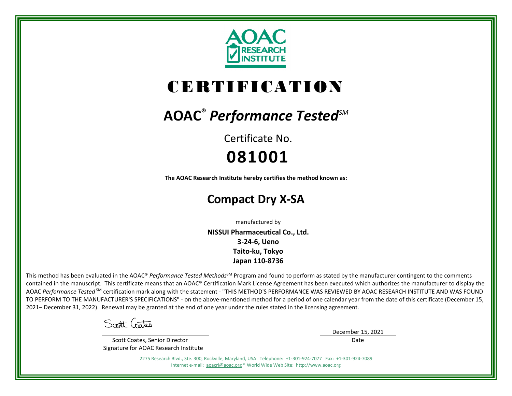

# CERTIFICATION

## **AOAC®** *Performance TestedSM*

Certificate No. **081001**

**The AOAC Research Institute hereby certifies the method known as:**

### **Compact Dry X-SA**

manufactured by

**NISSUI Pharmaceutical Co., Ltd. 3-24-6, Ueno Taito-ku, Tokyo Japan 110-8736**

This method has been evaluated in the AOAC® *Performance Tested Methods*<sup>SM</sup> Program and found to perform as stated by the manufacturer contingent to the comments contained in the manuscript. This certificate means that an AOAC® Certification Mark License Agreement has been executed which authorizes the manufacturer to display the AOAC *Performance Tested* SM certification mark along with the statement - "THIS METHOD'S PERFORMANCE WAS REVIEWED BY AOAC RESEARCH INSTITUTE AND WAS FOUND TO PERFORM TO THE MANUFACTURER'S SPECIFICATIONS" - on the above-mentioned method for a period of one calendar year from the date of this certificate (December 15, 2021– December 31, 2022). Renewal may be granted at the end of one year under the rules stated in the licensing agreement.

Scott Gates

 Scott Coates, Senior Director Signature for AOAC Research Institute December 15, 2021 Date

2275 Research Blvd., Ste. 300, Rockville, Maryland, USA Telephone: +1-301-924-7077 Fax: +1-301-924-7089 Internet e-mail: [aoacri@aoac.org](mailto:aoacri@aoac.org) \* World Wide Web Site: http://www.aoac.org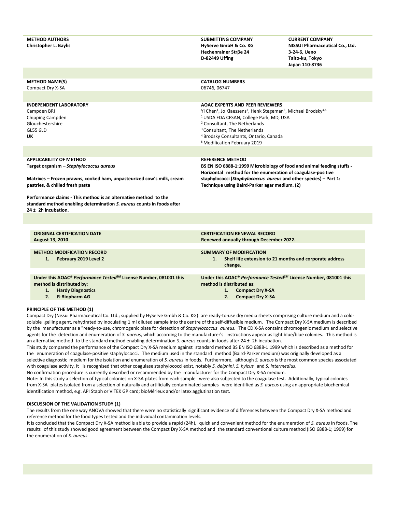| <b>METHOD AUTHORS</b><br><b>Christopher L. Baylis</b>                                                                                                                                 | <b>SUBMITTING COMPANY</b><br>HyServe GmbH & Co. KG<br>Hechenrainer Strße 24<br>D-82449 Uffing                                                                                                                                                                                          | <b>CURRENT COMPANY</b><br>NISSUI Pharmaceutical Co., Ltd.<br>3-24-6, Ueno<br>Taito-ku, Tokyo<br>Japan 110-8736 |  |  |  |
|---------------------------------------------------------------------------------------------------------------------------------------------------------------------------------------|----------------------------------------------------------------------------------------------------------------------------------------------------------------------------------------------------------------------------------------------------------------------------------------|----------------------------------------------------------------------------------------------------------------|--|--|--|
| <b>METHOD NAME(S)</b><br>Compact Dry X-SA                                                                                                                                             | <b>CATALOG NUMBERS</b><br>06746, 06747                                                                                                                                                                                                                                                 |                                                                                                                |  |  |  |
| <b>INDEPENDENT LABORATORY</b><br>Campden BRI<br>Chipping Campden<br>Glouchestershire                                                                                                  | <b>AOAC EXPERTS AND PEER REVIEWERS</b><br>Yi Chen <sup>1</sup> , Jo Klaessens <sup>2</sup> , Henk Stegeman <sup>3</sup> , Michael Brodsky <sup>4,5</sup><br><sup>1</sup> USDA FDA CFSAN, College Park, MD, USA<br><sup>2</sup> Consultant, The Netherlands                             |                                                                                                                |  |  |  |
| <b>GL55 6LD</b><br>UΚ                                                                                                                                                                 | <sup>3</sup> Consultant, The Netherlands<br><sup>4</sup> Brodsky Consultants, Ontario, Canada<br><sup>5</sup> Modification February 2019                                                                                                                                               |                                                                                                                |  |  |  |
|                                                                                                                                                                                       |                                                                                                                                                                                                                                                                                        |                                                                                                                |  |  |  |
| <b>APPLICABILITY OF METHOD</b><br>Target organism - Staphylococcus aureus<br>Matrixes - Frozen prawns, cooked ham, unpasteurized cow's milk, cream<br>pastries, & chilled fresh pasta | <b>REFERENCE METHOD</b><br>BS EN ISO 6888-1:1999 Microbiology of food and animal feeding stuffs -<br>Horizontal method for the enumeration of coagulase-positive<br>staphylococci (Staphylococcus aureus and other species) - Part 1:<br>Technique using Baird-Parker agar medium. (2) |                                                                                                                |  |  |  |
| Performance claims - This method is an alternative method to the<br>standard method enabling determination S. aureus counts in foods after<br>$24 \pm 2h$ incubation.                 |                                                                                                                                                                                                                                                                                        |                                                                                                                |  |  |  |
|                                                                                                                                                                                       |                                                                                                                                                                                                                                                                                        |                                                                                                                |  |  |  |
| <b>ORIGINAL CERTIFICATION DATE</b><br>August 13, 2010                                                                                                                                 | <b>CERTIFICATION RENEWAL RECORD</b><br>Renewed annually through December 2022.                                                                                                                                                                                                         |                                                                                                                |  |  |  |
| <b>METHOD MODIFICATION RECORD</b><br>1.<br>February 2019 Level 2                                                                                                                      | <b>SUMMARY OF MODIFICATION</b><br>Shelf life extension to 21 months and corporate address<br>1.<br>change.                                                                                                                                                                             |                                                                                                                |  |  |  |
| Under this AOAC® Performance Tested <sup>5M</sup> License Number, 081001 this<br>method is distributed by:<br><b>Hardy Diagnostics</b><br>1.<br>2.<br><b>R-Biopharm AG</b>            | Under this AOAC® Performance Tested <sup>SM</sup> License Number, 081001 this<br>method is distributed as:<br>1.<br><b>Compact Dry X-SA</b><br>2.<br><b>Compact Dry X-SA</b>                                                                                                           |                                                                                                                |  |  |  |

#### **PRINCIPLE OF THE METHOD (1)**

Compact Dry (Nissui Pharmaceutical Co. Ltd.; supplied by HyServe Gmbh & Co. KG) are ready-to-use dry media sheets comprising culture medium and a coldsoluble gelling agent, rehydrated by inoculating 1 ml diluted sample into the centre of the self-diffusible medium. The Compact Dry X-SA medium is described by the manufacturer as a "ready-to-use, chromogenic plate for detection of *Staphylococcus aureus*. The CD X-SA contains chromogenic medium and selective agents for the detection and enumeration of *S. aureus*, which according to the manufacturer's instructions appear as light blue/blue colonies. This method is an alternative method to the standard method enabling determination *S. aureus* counts in foods after 24 ± 2h incubation.

This study compared the performance of the Compact Dry X-SA medium against standard method BS EN ISO 6888-1:1999 which is described as a method for the enumeration of coagulase-positive staphylococci. The medium used in the standard method (Baird-Parker medium) was originally developed as a selective diagnostic medium for the isolation and enumeration of *S. aureus* in foods. Furthermore, although *S. aureus* is the most common species associated with coagulase activity, it is recognised that other coagulase staphylococci exist, notably *S. delphini*, *S. hyicus* and *S. intermedius*. No confirmation procedure is currently described or recommended by the manufacturer for the Compact Dry X-SA medium.

Note: In this study a selection of typical colonies on X-SA plates from each sample were also subjected to the coagulase test. Additionally, typical colonies from X-SA plates isolated from a selection of naturally and artificially contaminated samples were identified as *S. aureus* using an appropriate biochemical identification method, e.g. API Staph or VITEK GP card; bioMérieux and/or latex agglutination test.

#### **DISCUSSION OF THE VALIDATION STUDY (1)**

The results from the one way ANOVA showed that there were no statistically significant evidence of differences between the Compact Dry X-SA method and reference method for the food types tested and the individual contamination levels.

It is concluded that the Compact Dry X-SA method is able to provide a rapid (24h), quick and convenient method for the enumeration of *S. aureus* in foods. The results of this study showed good agreement between the Compact Dry X-SA method and the standard conventional culture method (ISO 6888-1; 1999) for the enumeration of *S. aureus*.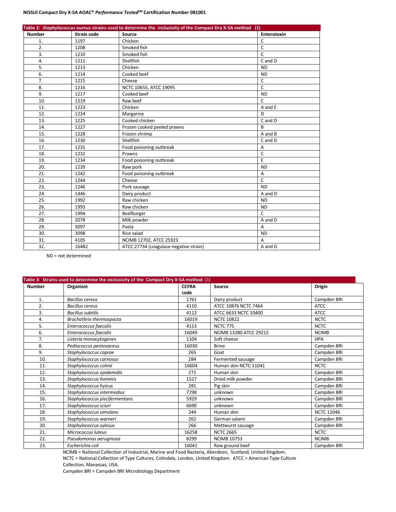#### **NISSUI Compact Dry X-SA AOAC®** *Performance TestedSM* **Certification Number 081001**

| Table 2: Staphylococcus aureus strains used to determine the inclusivity of the Compact Dry X-SA method (1) |                    |                                        |                |  |  |
|-------------------------------------------------------------------------------------------------------------|--------------------|----------------------------------------|----------------|--|--|
| <b>Number</b>                                                                                               | <b>Strain code</b> | Source                                 | Enterotoxin    |  |  |
| 1.                                                                                                          | 1197               | Chicken                                | C              |  |  |
| 2.                                                                                                          | 1208               | Smoked fish                            | C              |  |  |
| 3.                                                                                                          | 1210               | Smoked fish                            | C              |  |  |
| 4.                                                                                                          | 1211               | Shellfish                              | C and D        |  |  |
| 5.                                                                                                          | 1213               | Chicken                                | <b>ND</b>      |  |  |
| 6.                                                                                                          | 1214               | Cooked beef                            | <b>ND</b>      |  |  |
| 7.                                                                                                          | 1215               | Cheese                                 | $\mathsf{C}$   |  |  |
| 8.                                                                                                          | 1216               | NCTC 10655, ATCC 19095                 | $\mathsf{C}$   |  |  |
| 9.                                                                                                          | 1217               | Cooked beef                            | <b>ND</b>      |  |  |
| 10.                                                                                                         | 1219               | Raw beef                               | $\mathsf{C}$   |  |  |
| 11.                                                                                                         | 1223               | Chicken                                | A and E        |  |  |
| 12.                                                                                                         | 1224               | Margarine                              | D              |  |  |
| 13.                                                                                                         | 1225               | Cooked chicken                         | C and D        |  |  |
| 14.                                                                                                         | 1227               | Frozen cooked peeled prawns            | B              |  |  |
| 15.                                                                                                         | 1228               | Frozen shrimp                          | A and B        |  |  |
| 16.                                                                                                         | 1230               | Shellfish                              | C and D        |  |  |
| 17.                                                                                                         | 1231               | Food poisoning outbreak                | A              |  |  |
| 18.                                                                                                         | 1232               | Prawns                                 | C              |  |  |
| 19.                                                                                                         | 1234               | Food poisoning outbreak                | E              |  |  |
| 20.                                                                                                         | 1239               | Raw pork                               | <b>ND</b>      |  |  |
| 21.                                                                                                         | 1242               | Food poisoning outbreak                | $\overline{A}$ |  |  |
| 22.                                                                                                         | 1244               | Cheese                                 | $\mathsf{C}$   |  |  |
| 23.                                                                                                         | 1246               | Pork sausage                           | <b>ND</b>      |  |  |
| 24.                                                                                                         | 1446               | Dairy product                          | A and D        |  |  |
| 25.                                                                                                         | 1992               | Raw chicken                            | <b>ND</b>      |  |  |
| 26.                                                                                                         | 1993               | Raw chicken                            | <b>ND</b>      |  |  |
| 27.                                                                                                         | 1994               | Beefburger                             | $\mathsf{C}$   |  |  |
| 28.                                                                                                         | 2078               | Milk powder                            | A and D        |  |  |
| 29.                                                                                                         | 3097               | Pasta                                  | Α              |  |  |
| 30.                                                                                                         | 3098               | Rice salad                             | <b>ND</b>      |  |  |
| 31.                                                                                                         | 4105               | NCIMB 12702, ATCC 25923                | A              |  |  |
| 32.                                                                                                         | 16482              | ATCC 27734 (coagulase negative strain) | A and D        |  |  |

ND = not determined

| Table 3: Strains used to determine the exclusivity of the Compact Dry X-SA method (1) |                                |              |                               |                   |  |  |  |
|---------------------------------------------------------------------------------------|--------------------------------|--------------|-------------------------------|-------------------|--|--|--|
| <b>Number</b>                                                                         | Organism                       | <b>CCFRA</b> | Source                        | Origin            |  |  |  |
|                                                                                       |                                | code         |                               |                   |  |  |  |
| 1.                                                                                    | <b>Bacillus cereus</b>         | 1761         | Dairy product                 | Campden BRI       |  |  |  |
| 2.                                                                                    | <b>Bacillus cereus</b>         | 4110         | ATCC 10876 NCTC 7464          | <b>ATCC</b>       |  |  |  |
| 3.                                                                                    | <b>Bacillus subtilis</b>       | 4112         | ATCC 6633 NCTC 10400          | <b>ATCC</b>       |  |  |  |
| 4.                                                                                    | Brochothrix thermospacta       | 16019        | <b>NCTC 10822</b>             | <b>NCTC</b>       |  |  |  |
| 5.                                                                                    | Enterococcus faecalis          | 4113         | <b>NCTC 775</b>               | <b>NCTC</b>       |  |  |  |
| 6.                                                                                    | Enterococcus faecalis          | 16049        | <b>NCIMB 13280 ATCC 29212</b> | <b>NCIMB</b>      |  |  |  |
| 7.                                                                                    | Listeria monocytogenes         | 1104         | Soft cheese                   | <b>HPA</b>        |  |  |  |
| 8.                                                                                    | Pediococcus pentosaceus        | 16030        | <b>Brine</b>                  | Campden BRI       |  |  |  |
| 9.                                                                                    | Staphylococcus caprae          | 265          | Goat                          | Campden BRI       |  |  |  |
| 10.                                                                                   | Staphylococcus carnosus        | 284          | Fermented sausage             | Campden BRI       |  |  |  |
| 11.                                                                                   | Staphylococcus cohnii          | 16604        | Human skin NCTC 11041         | <b>NCTC</b>       |  |  |  |
| 12.                                                                                   | Staphylococcus epidemidis      | 271          | Human skin                    | Campden BRI       |  |  |  |
| 13.                                                                                   | Staphylococcus hominis         | 1527         | Dried milk powder             | Campden BRI       |  |  |  |
| 14.                                                                                   | Staphylococcus hyicus          | 281          | Pig skin                      | Campden BRI       |  |  |  |
| 15.                                                                                   | Staphylococcus intermedius     | 7298         | unknown                       | Campden BRI       |  |  |  |
| 16.                                                                                   | Staphylococcus piscifermentans | 5929         | unknown                       | Campden BRI       |  |  |  |
| 17.                                                                                   | Staphylococcus sciuri          | 6690         | unknown                       | Campden BRI       |  |  |  |
| 18.                                                                                   | Staphylococcus simulans        | 244          | Human skin                    | <b>NCTC 11046</b> |  |  |  |
| 19.                                                                                   | Staphylococcus warneri         | 262          | German salami                 | Campden BRI       |  |  |  |
| 20.                                                                                   | Staphylococcus xylosus         | 266          | Mettwurst sausage             | Campden BRI       |  |  |  |
| 21.                                                                                   | Micrococcus luteus             | 16258        | <b>NCTC 2665</b>              | <b>NCTC</b>       |  |  |  |
| 22.                                                                                   | Pseudomonas aeruginosa         | 8299         | <b>NCIMB 10753</b>            | <b>NCIMB</b>      |  |  |  |
| 23.                                                                                   | Escherichia coli               | 16041        | Raw ground beef               | Campden BRI       |  |  |  |

NCIMB = National Collection of Industrial, Marine and Food Bacteria, Aberdeen, Scotland, United Kingdom. NCTC = National Collection of Type Cultures, Colindale, London, United Kingdom. ATCC = American Type Culture Collection, Manassas, USA.

Campden BRI = Campden BRI Microbiology Department